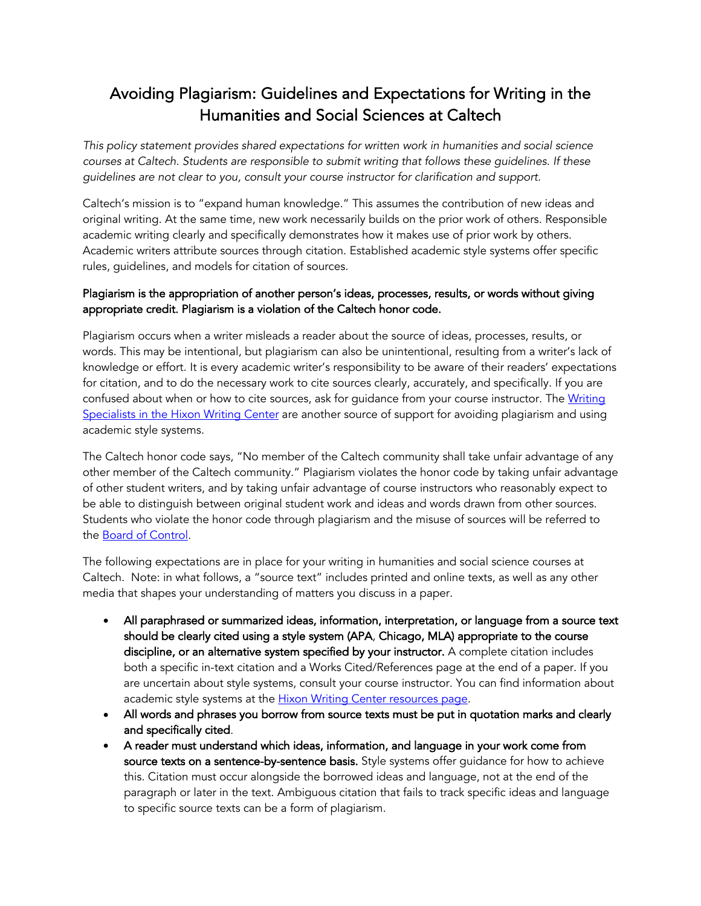## Avoiding Plagiarism: Guidelines and Expectations for Writing in the Humanities and Social Sciences at Caltech

*This policy statement provides shared expectations for written work in humanities and social science courses at Caltech. Students are responsible to submit writing that follows these guidelines. If these guidelines are not clear to you, consult your course instructor for clarification and support.*

Caltech's mission is to "expand human knowledge." This assumes the contribution of new ideas and original writing. At the same time, new work necessarily builds on the prior work of others. Responsible academic writing clearly and specifically demonstrates how it makes use of prior work by others. Academic writers attribute sources through citation. Established academic style systems offer specific rules, guidelines, and models for citation of sources.

## Plagiarism is the appropriation of another person's ideas, processes, results, or words without giving appropriate credit. Plagiarism is a violation of the Caltech honor code.

Plagiarism occurs when a writer misleads a reader about the source of ideas, processes, results, or words. This may be intentional, but plagiarism can also be unintentional, resulting from a writer's lack of knowledge or effort. It is every academic writer's responsibility to be aware of their readers' expectations for citation, and to do the necessary work to cite sources clearly, accurately, and specifically. If you are confused about when or how to cite sources, ask for guidance from your course instructor. The Writing Specialists in the Hixon Writing Center are another source of support for avoiding plagiarism and using academic style systems.

The Caltech honor code says, "No member of the Caltech community shall take unfair advantage of any other member of the Caltech community." Plagiarism violates the honor code by taking unfair advantage of other student writers, and by taking unfair advantage of course instructors who reasonably expect to be able to distinguish between original student work and ideas and words drawn from other sources. Students who violate the honor code through plagiarism and the misuse of sources will be referred to the Board of Control.

The following expectations are in place for your writing in humanities and social science courses at Caltech. Note: in what follows, a "source text" includes printed and online texts, as well as any other media that shapes your understanding of matters you discuss in a paper.

- All paraphrased or summarized ideas, information, interpretation, or language from a source text should be clearly cited using a style system (APA, Chicago, MLA) appropriate to the course discipline, or an alternative system specified by your instructor. A complete citation includes both a specific in-text citation and a Works Cited/References page at the end of a paper. If you are uncertain about style systems, consult your course instructor. You can find information about academic style systems at the **Hixon Writing Center resources page**.
- All words and phrases you borrow from source texts must be put in quotation marks and clearly and specifically cited.
- A reader must understand which ideas, information, and language in your work come from source texts on a sentence-by-sentence basis. Style systems offer guidance for how to achieve this. Citation must occur alongside the borrowed ideas and language, not at the end of the paragraph or later in the text. Ambiguous citation that fails to track specific ideas and language to specific source texts can be a form of plagiarism.